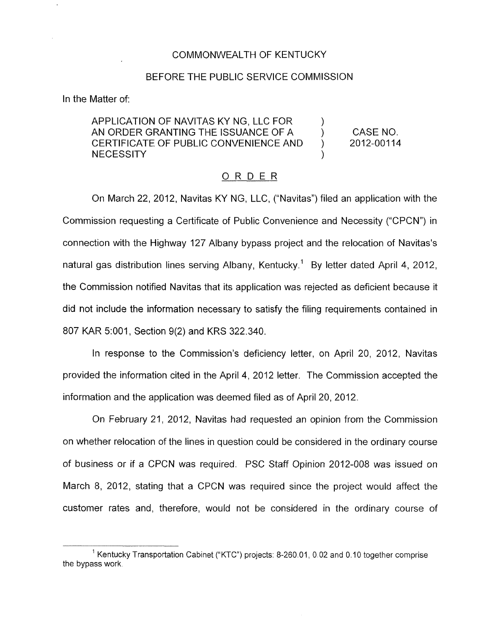## COMMONWEALTH OF KENTUCKY

## BEFORE THE PUBLIC SERVICE COMMISSION

In the Matter of:

APPLICATION OF NAVITAS KY NG, LLC FOR ) AN ORDER GRANTING THE ISSUANCE OF A (CASE NO.<br>CERTIFICATE OF PUBLIC CONVENIENCE AND (2012-00114 CERTIFICATE OF PUBLIC CONVENIENCE AND **NECESSITY** 

## ORDER

On March 22, 2012, Navitas KY NG, LLC, ("Navitas") filed an application with the Commission requesting a Certificate of Public Convenience and Necessity ('CPCN'') in connection with the Highway 127 Albany bypass project and the relocation of Navitas's natural gas distribution lines serving Albany, Kentucky.<sup>1</sup> By letter dated April 4, 2012, the Commission notified Navitas that its application was rejected as deficient because it did not include the information necessary to satisfy the filing requirements contained in 807 KAR 5:001, Section 9(2) and KRS 322,340.

In response to the Commission's deficiency letter, on April 20, 2012, Navitas provided the information cited in the April 4, 2012 letter. The Commission accepted the information and the application was deemed filed as of April 20, 2012.

On February 21, 2012, Navitas had requested an opinion from the Commission on whether relocation of the lines in question could be considered in the ordinary course of business or if a CPCN was required. PSC Staff Opinion 2012-008 was issued on March 8, 2012, stating that a CPCN was required since the project would affect the customer rates and, therefore, would not be considered in the ordinary course of

<sup>&</sup>lt;sup>1</sup> Kentucky Transportation Cabinet ("KTC") projects: 8-260.01, 0.02 and 0.10 together comprise the bypass work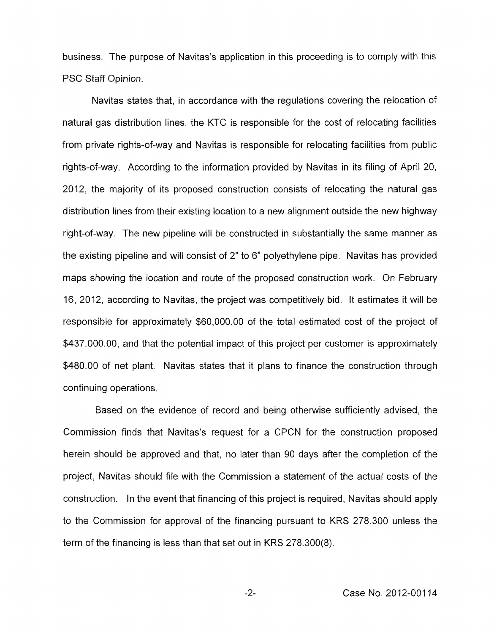business. The purpose of Navitas's application in this proceeding is to comply with this PSC Staff Opinion.

Navitas states that, in accordance with the regulations covering the relocation of natural gas distribution lines, the KTC is responsible for the cost of relocating facilities from private rights-of-way and Navitas is responsible for relocating facilities from public rights-of-way. According to the information provided by Navitas in its filing of April 20, 2012, the majority of its proposed construction consists of relocating the natural gas distribution lines from their existing location to a new alignment outside the new highway right-of-way. The new pipeline will be constructed in substantially the same manner as the existing pipeline and will consist of 2" to 6" polyethylene pipe. Navitas has provided maps showing the location and route of the proposed construction work. On February 16, 2012, according to Navitas, the project was competitively bid. It estimates it will be responsible for approximately \$60,000.00 of the total estimated cost of the project of \$437,000.00, and that the potential impact of this project per customer is approximately \$480.00 of net plant. Navitas states that it plans to finance the construction through continuing operations.

Based on the evidence of record and being otherwise sufficiently advised, the Commission finds that Navitas's request for a CPCN for the construction proposed herein should be approved and that, no later than 90 days after the completion of the project, Navitas should file with the Commission a statement of the actual costs of the construction. In the event that financing of this project is required, Navitas should apply to the Commission for approval of the financing pursuant to KRS 278.300 unless the term of the financing is less than that set out in KRS 278.300(8).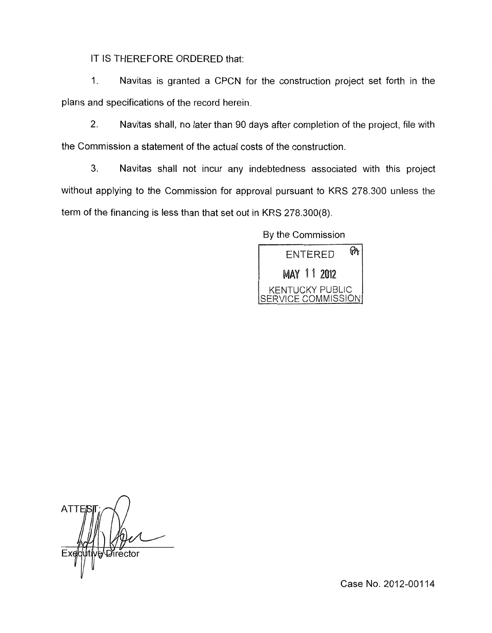IT IS THEREFORE ORDERED that:

1. Navitas is granted a CPCN for the construction project set forth in the plans and specifications of the record herein.

2. Navitas shall, no later than 90 days after completion of the project, file with the Commission a statement of the actual costs of the construction.

3. Navitas shall not incur any indebtedness associated with this project without applying to the Commission for approval pursuant to KRS 278.300 unless the term of the financing is less than that set out in KRS 278.300(8).

By the Commission



**ATTE** Director

Case No. 2012-00114